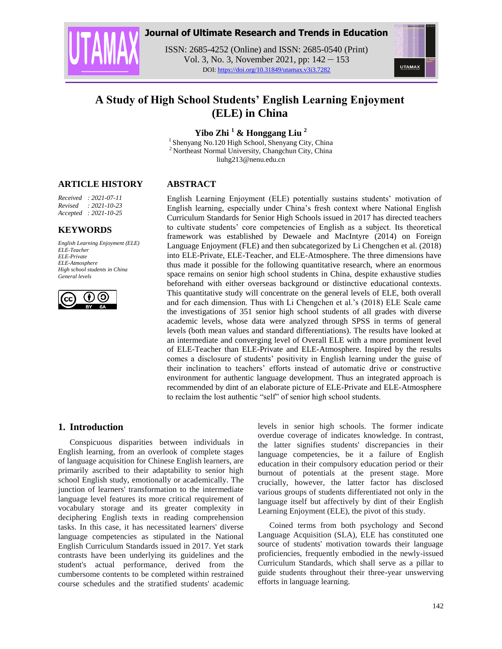

# **Journal of Ultimate Research and Trends in Education**

ISSN: 2685-4252 (Online) and ISSN: 2685-0540 (Print) Vol. 3, No. 3, November 2021, pp: 142 – 153 DOI: https://doi.org/10.31849/utamax.v3i3.7282



# **A Study of High School Students' English Learning Enjoyment (ELE) in China**

**Yibo Zhi <sup>1</sup> & Honggang Liu <sup>2</sup>**

<sup>1</sup> Shenyang No.120 High School, Shenyang City, China <sup>2</sup> Northeast Normal University, Changchun City, China liuhg213@nenu.edu.cn

# **ARTICLE HISTORY**

*Received : 2021-07-11 Revised : 2021-10-23 Accepted : 2021-10-25*

# **KEYWORDS**

*English Learning Enjoyment (ELE) ELE-Teacher ELE-Private ELE-Atmosphere High school students in China General levels*



# **ABSTRACT**

English Learning Enjoyment (ELE) potentially sustains students' motivation of English learning, especially under China's fresh context where National English Curriculum Standards for Senior High Schools issued in 2017 has directed teachers to cultivate students' core competencies of English as a subject. Its theoretical framework was established by Dewaele and MacIntyre (2014) on Foreign Language Enjoyment (FLE) and then subcategorized by Li Chengchen et al. (2018) into ELE-Private, ELE-Teacher, and ELE-Atmosphere. The three dimensions have thus made it possible for the following quantitative research, where an enormous space remains on senior high school students in China, despite exhaustive studies beforehand with either overseas background or distinctive educational contexts. This quantitative study will concentrate on the general levels of ELE, both overall and for each dimension. Thus with Li Chengchen et al.'s (2018) ELE Scale came the investigations of 351 senior high school students of all grades with diverse academic levels, whose data were analyzed through SPSS in terms of general levels (both mean values and standard differentiations). The results have looked at an intermediate and converging level of Overall ELE with a more prominent level of ELE-Teacher than ELE-Private and ELE-Atmosphere. Inspired by the results comes a disclosure of students' positivity in English learning under the guise of their inclination to teachers' efforts instead of automatic drive or constructive environment for authentic language development. Thus an integrated approach is recommended by dint of an elaborate picture of ELE-Private and ELE-Atmosphere to reclaim the lost authentic "self" of senior high school students.

# **1. Introduction**

Conspicuous disparities between individuals in English learning, from an overlook of complete stages of language acquisition for Chinese English learners, are primarily ascribed to their adaptability to senior high school English study, emotionally or academically. The junction of learners' transformation to the intermediate language level features its more critical requirement of vocabulary storage and its greater complexity in deciphering English texts in reading comprehension tasks. In this case, it has necessitated learners' diverse language competencies as stipulated in the National English Curriculum Standards issued in 2017. Yet stark contrasts have been underlying its guidelines and the student's actual performance, derived from the cumbersome contents to be completed within restrained course schedules and the stratified students' academic

levels in senior high schools. The former indicate overdue coverage of indicates knowledge. In contrast, the latter signifies students' discrepancies in their language competencies, be it a failure of English education in their compulsory education period or their burnout of potentials at the present stage. More crucially, however, the latter factor has disclosed various groups of students differentiated not only in the language itself but affectively by dint of their English Learning Enjoyment (ELE), the pivot of this study.

Coined terms from both psychology and Second Language Acquisition (SLA), ELE has constituted one source of students' motivation towards their language proficiencies, frequently embodied in the newly-issued Curriculum Standards, which shall serve as a pillar to guide students throughout their three-year unswerving efforts in language learning.

142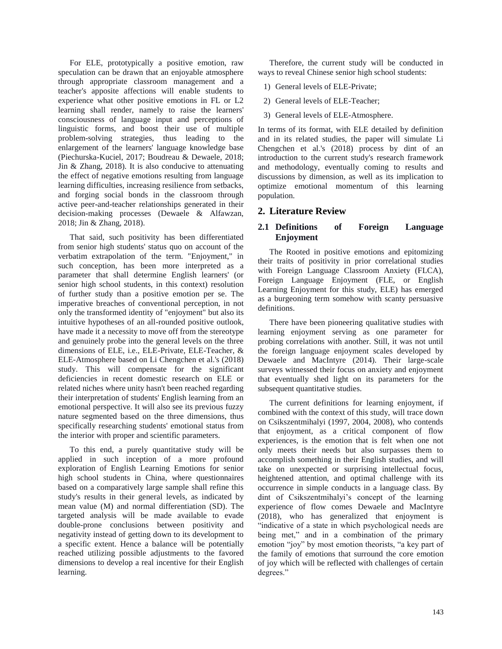For ELE, prototypically a positive emotion, raw speculation can be drawn that an enjoyable atmosphere through appropriate classroom management and a teacher's apposite affections will enable students to experience what other positive emotions in FL or L2 learning shall render, namely to raise the learners' consciousness of language input and perceptions of linguistic forms, and boost their use of multiple problem-solving strategies, thus leading to the enlargement of the learners' language knowledge base (Piechurska-Kuciel, 2017; Boudreau & Dewaele, 2018; Jin & Zhang, 2018). It is also conducive to attenuating the effect of negative emotions resulting from language learning difficulties, increasing resilience from setbacks, and forging social bonds in the classroom through active peer-and-teacher relationships generated in their decision-making processes (Dewaele & Alfawzan, 2018; Jin & Zhang, 2018).

That said, such positivity has been differentiated from senior high students' status quo on account of the verbatim extrapolation of the term. "Enjoyment," in such conception, has been more interpreted as a parameter that shall determine English learners' (or senior high school students, in this context) resolution of further study than a positive emotion per se. The imperative breaches of conventional perception, in not only the transformed identity of "enjoyment" but also its intuitive hypotheses of an all-rounded positive outlook, have made it a necessity to move off from the stereotype and genuinely probe into the general levels on the three dimensions of ELE, i.e., ELE-Private, ELE-Teacher, & ELE-Atmosphere based on Li Chengchen et al.'s (2018) study. This will compensate for the significant deficiencies in recent domestic research on ELE or related niches where unity hasn't been reached regarding their interpretation of students' English learning from an emotional perspective. It will also see its previous fuzzy nature segmented based on the three dimensions, thus specifically researching students' emotional status from the interior with proper and scientific parameters.

To this end, a purely quantitative study will be applied in such inception of a more profound exploration of English Learning Emotions for senior high school students in China, where questionnaires based on a comparatively large sample shall refine this study's results in their general levels, as indicated by mean value (M) and normal differentiation (SD). The targeted analysis will be made available to evade double-prone conclusions between positivity and negativity instead of getting down to its development to a specific extent. Hence a balance will be potentially reached utilizing possible adjustments to the favored dimensions to develop a real incentive for their English learning.

Therefore, the current study will be conducted in ways to reveal Chinese senior high school students:

- 1) General levels of ELE-Private;
- 2) General levels of ELE-Teacher;
- 3) General levels of ELE-Atmosphere.

In terms of its format, with ELE detailed by definition and in its related studies, the paper will simulate Li Chengchen et al.'s (2018) process by dint of an introduction to the current study's research framework and methodology, eventually coming to results and discussions by dimension, as well as its implication to optimize emotional momentum of this learning population.

# **2. Literature Review**

# **2.1 Definitions of Foreign Language Enjoyment**

The Rooted in positive emotions and epitomizing their traits of positivity in prior correlational studies with Foreign Language Classroom Anxiety (FLCA), Foreign Language Enjoyment (FLE, or English Learning Enjoyment for this study, ELE) has emerged as a burgeoning term somehow with scanty persuasive definitions.

There have been pioneering qualitative studies with learning enjoyment serving as one parameter for probing correlations with another. Still, it was not until the foreign language enjoyment scales developed by Dewaele and MacIntyre (2014). Their large-scale surveys witnessed their focus on anxiety and enjoyment that eventually shed light on its parameters for the subsequent quantitative studies.

The current definitions for learning enjoyment, if combined with the context of this study, will trace down on Csikszentmihalyi (1997, 2004, 2008), who contends that enjoyment, as a critical component of flow experiences, is the emotion that is felt when one not only meets their needs but also surpasses them to accomplish something in their English studies, and will take on unexpected or surprising intellectual focus, heightened attention, and optimal challenge with its occurrence in simple conducts in a language class. By dint of Csikszentmihalyi's concept of the learning experience of flow comes Dewaele and MacIntyre (2018), who has generalized that enjoyment is "indicative of a state in which psychological needs are being met," and in a combination of the primary emotion "joy" by most emotion theorists, "a key part of the family of emotions that surround the core emotion of joy which will be reflected with challenges of certain degrees."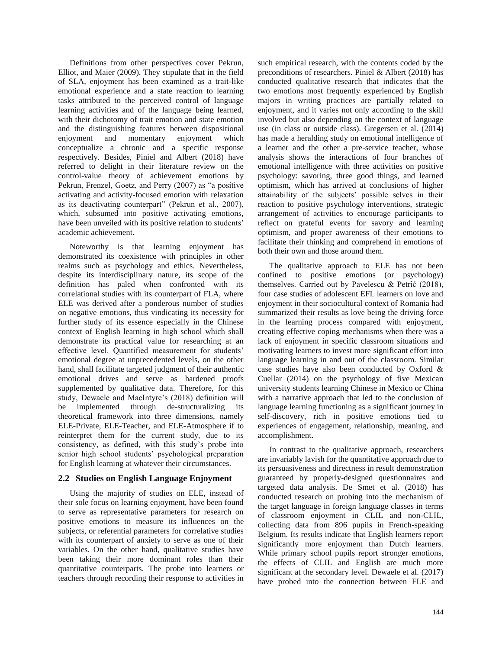Definitions from other perspectives cover Pekrun, Elliot, and Maier (2009). They stipulate that in the field of SLA, enjoyment has been examined as a trait-like emotional experience and a state reaction to learning tasks attributed to the perceived control of language learning activities and of the language being learned, with their dichotomy of trait emotion and state emotion and the distinguishing features between dispositional enjoyment and momentary enjoyment which conceptualize a chronic and a specific response respectively. Besides, Piniel and Albert (2018) have referred to delight in their literature review on the control-value theory of achievement emotions by Pekrun, Frenzel, Goetz, and Perry (2007) as "a positive activating and activity-focused emotion with relaxation as its deactivating counterpart" (Pekrun et al., 2007), which, subsumed into positive activating emotions, have been unveiled with its positive relation to students' academic achievement.

Noteworthy is that learning enjoyment has demonstrated its coexistence with principles in other realms such as psychology and ethics. Nevertheless, despite its interdisciplinary nature, its scope of the definition has paled when confronted with its correlational studies with its counterpart of FLA, where ELE was derived after a ponderous number of studies on negative emotions, thus vindicating its necessity for further study of its essence especially in the Chinese context of English learning in high school which shall demonstrate its practical value for researching at an effective level. Quantified measurement for students' emotional degree at unprecedented levels, on the other hand, shall facilitate targeted judgment of their authentic emotional drives and serve as hardened proofs supplemented by qualitative data. Therefore, for this study, Dewaele and MacIntyre's (2018) definition will be implemented through de-structuralizing its theoretical framework into three dimensions, namely ELE-Private, ELE-Teacher, and ELE-Atmosphere if to reinterpret them for the current study, due to its consistency, as defined, with this study's probe into senior high school students' psychological preparation for English learning at whatever their circumstances.

# **2.2 Studies on English Language Enjoyment**

Using the majority of studies on ELE, instead of their sole focus on learning enjoyment, have been found to serve as representative parameters for research on positive emotions to measure its influences on the subjects, or referential parameters for correlative studies with its counterpart of anxiety to serve as one of their variables. On the other hand, qualitative studies have been taking their more dominant roles than their quantitative counterparts. The probe into learners or teachers through recording their response to activities in

such empirical research, with the contents coded by the preconditions of researchers. Piniel & Albert (2018) has conducted qualitative research that indicates that the two emotions most frequently experienced by English majors in writing practices are partially related to enjoyment, and it varies not only according to the skill involved but also depending on the context of language use (in class or outside class). Gregersen et al. (2014) has made a heralding study on emotional intelligence of a learner and the other a pre-service teacher, whose analysis shows the interactions of four branches of emotional intelligence with three activities on positive psychology: savoring, three good things, and learned optimism, which has arrived at conclusions of higher attainability of the subjects' possible selves in their reaction to positive psychology interventions, strategic arrangement of activities to encourage participants to reflect on grateful events for savory and learning optimism, and proper awareness of their emotions to facilitate their thinking and comprehend in emotions of both their own and those around them.

The qualitative approach to ELE has not been confined to positive emotions (or psychology) themselves. Carried out by Pavelescu & Petrić (2018), four case studies of adolescent EFL learners on love and enjoyment in their sociocultural context of Romania had summarized their results as love being the driving force in the learning process compared with enjoyment, creating effective coping mechanisms when there was a lack of enjoyment in specific classroom situations and motivating learners to invest more significant effort into language learning in and out of the classroom. Similar case studies have also been conducted by Oxford & Cuellar (2014) on the psychology of five Mexican university students learning Chinese in Mexico or China with a narrative approach that led to the conclusion of language learning functioning as a significant journey in self-discovery, rich in positive emotions tied to experiences of engagement, relationship, meaning, and accomplishment.

In contrast to the qualitative approach, researchers are invariably lavish for the quantitative approach due to its persuasiveness and directness in result demonstration guaranteed by properly-designed questionnaires and targeted data analysis. De Smet et al. (2018) has conducted research on probing into the mechanism of the target language in foreign language classes in terms of classroom enjoyment in CLIL and non-CLIL, collecting data from 896 pupils in French-speaking Belgium. Its results indicate that English learners report significantly more enjoyment than Dutch learners. While primary school pupils report stronger emotions, the effects of CLIL and English are much more significant at the secondary level. Dewaele et al. (2017) have probed into the connection between FLE and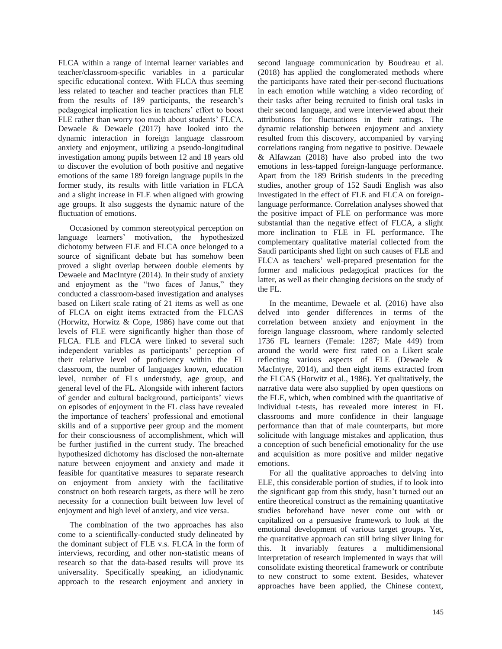FLCA within a range of internal learner variables and teacher/classroom-specific variables in a particular specific educational context. With FLCA thus seeming less related to teacher and teacher practices than FLE from the results of 189 participants, the research's pedagogical implication lies in teachers' effort to boost FLE rather than worry too much about students' FLCA. Dewaele & Dewaele (2017) have looked into the dynamic interaction in foreign language classroom anxiety and enjoyment, utilizing a pseudo-longitudinal investigation among pupils between 12 and 18 years old to discover the evolution of both positive and negative emotions of the same 189 foreign language pupils in the former study, its results with little variation in FLCA and a slight increase in FLE when aligned with growing age groups. It also suggests the dynamic nature of the fluctuation of emotions.

Occasioned by common stereotypical perception on language learners' motivation, the hypothesized dichotomy between FLE and FLCA once belonged to a source of significant debate but has somehow been proved a slight overlap between double elements by Dewaele and MacIntyre (2014). In their study of anxiety and enjoyment as the "two faces of Janus," they conducted a classroom-based investigation and analyses based on Likert scale rating of 21 items as well as one of FLCA on eight items extracted from the FLCAS (Horwitz, Horwitz & Cope, 1986) have come out that levels of FLE were significantly higher than those of FLCA. FLE and FLCA were linked to several such independent variables as participants' perception of their relative level of proficiency within the FL classroom, the number of languages known, education level, number of FLs understudy, age group, and general level of the FL. Alongside with inherent factors of gender and cultural background, participants' views on episodes of enjoyment in the FL class have revealed the importance of teachers' professional and emotional skills and of a supportive peer group and the moment for their consciousness of accomplishment, which will be further justified in the current study. The breached hypothesized dichotomy has disclosed the non-alternate nature between enjoyment and anxiety and made it feasible for quantitative measures to separate research on enjoyment from anxiety with the facilitative construct on both research targets, as there will be zero necessity for a connection built between low level of enjoyment and high level of anxiety, and vice versa.

The combination of the two approaches has also come to a scientifically-conducted study delineated by the dominant subject of FLE v.s. FLCA in the form of interviews, recording, and other non-statistic means of research so that the data-based results will prove its universality. Specifically speaking, an idiodynamic approach to the research enjoyment and anxiety in

second language communication by Boudreau et al. (2018) has applied the conglomerated methods where the participants have rated their per-second fluctuations in each emotion while watching a video recording of their tasks after being recruited to finish oral tasks in their second language, and were interviewed about their attributions for fluctuations in their ratings. The dynamic relationship between enjoyment and anxiety resulted from this discovery, accompanied by varying correlations ranging from negative to positive. Dewaele & Alfawzan (2018) have also probed into the two emotions in less-tapped foreign-language performance. Apart from the 189 British students in the preceding studies, another group of 152 Saudi English was also investigated in the effect of FLE and FLCA on foreignlanguage performance. Correlation analyses showed that the positive impact of FLE on performance was more substantial than the negative effect of FLCA, a slight more inclination to FLE in FL performance. The complementary qualitative material collected from the Saudi participants shed light on such causes of FLE and FLCA as teachers' well-prepared presentation for the former and malicious pedagogical practices for the latter, as well as their changing decisions on the study of the FL.

In the meantime, Dewaele et al. (2016) have also delved into gender differences in terms of the correlation between anxiety and enjoyment in the foreign language classroom, where randomly selected 1736 FL learners (Female: 1287; Male 449) from around the world were first rated on a Likert scale reflecting various aspects of FLE (Dewaele & MacIntyre, 2014), and then eight items extracted from the FLCAS (Horwitz et al., 1986). Yet qualitatively, the narrative data were also supplied by open questions on the FLE, which, when combined with the quantitative of individual t-tests, has revealed more interest in FL classrooms and more confidence in their language performance than that of male counterparts, but more solicitude with language mistakes and application, thus a conception of such beneficial emotionality for the use and acquisition as more positive and milder negative emotions.

For all the qualitative approaches to delving into ELE, this considerable portion of studies, if to look into the significant gap from this study, hasn't turned out an entire theoretical construct as the remaining quantitative studies beforehand have never come out with or capitalized on a persuasive framework to look at the emotional development of various target groups. Yet, the quantitative approach can still bring silver lining for this. It invariably features a multidimensional interpretation of research implemented in ways that will consolidate existing theoretical framework or contribute to new construct to some extent. Besides, whatever approaches have been applied, the Chinese context,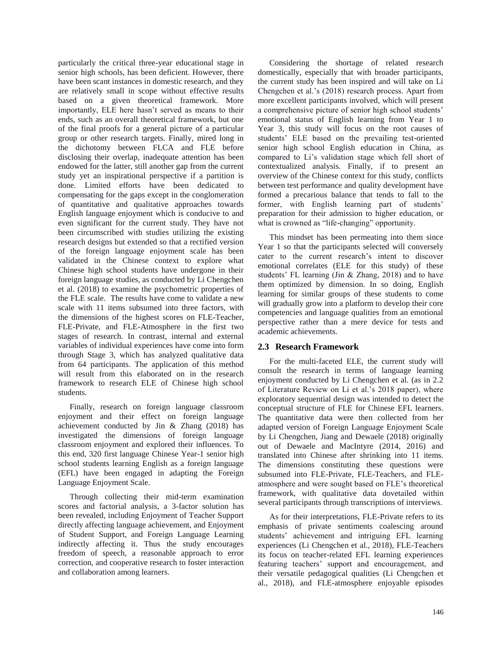particularly the critical three-year educational stage in senior high schools, has been deficient. However, there have been scant instances in domestic research, and they are relatively small in scope without effective results based on a given theoretical framework. More importantly, ELE here hasn't served as means to their ends, such as an overall theoretical framework, but one of the final proofs for a general picture of a particular group or other research targets. Finally, mired long in the dichotomy between FLCA and FLE before disclosing their overlap, inadequate attention has been endowed for the latter, still another gap from the current study yet an inspirational perspective if a partition is done. Limited efforts have been dedicated to compensating for the gaps except in the conglomeration of quantitative and qualitative approaches towards English language enjoyment which is conducive to and even significant for the current study. They have not been circumscribed with studies utilizing the existing research designs but extended so that a rectified version of the foreign language enjoyment scale has been validated in the Chinese context to explore what Chinese high school students have undergone in their foreign language studies, as conducted by Li Chengchen et al. (2018) to examine the psychometric properties of the FLE scale. The results have come to validate a new scale with 11 items subsumed into three factors, with the dimensions of the highest scores on FLE-Teacher, FLE-Private, and FLE-Atmosphere in the first two stages of research. In contrast, internal and external variables of individual experiences have come into form through Stage 3, which has analyzed qualitative data from 64 participants. The application of this method will result from this elaborated on in the research framework to research ELE of Chinese high school students.

Finally, research on foreign language classroom enjoyment and their effect on foreign language achievement conducted by Jin & Zhang (2018) has investigated the dimensions of foreign language classroom enjoyment and explored their influences. To this end, 320 first language Chinese Year-1 senior high school students learning English as a foreign language (EFL) have been engaged in adapting the Foreign Language Enjoyment Scale.

Through collecting their mid-term examination scores and factorial analysis, a 3-factor solution has been revealed, including Enjoyment of Teacher Support directly affecting language achievement, and Enjoyment of Student Support, and Foreign Language Learning indirectly affecting it. Thus the study encourages freedom of speech, a reasonable approach to error correction, and cooperative research to foster interaction and collaboration among learners.

Considering the shortage of related research domestically, especially that with broader participants, the current study has been inspired and will take on Li Chengchen et al.'s (2018) research process. Apart from more excellent participants involved, which will present a comprehensive picture of senior high school students' emotional status of English learning from Year 1 to Year 3, this study will focus on the root causes of students' ELE based on the prevailing test-oriented senior high school English education in China, as compared to Li's validation stage which fell short of contextualized analysis. Finally, if to present an overview of the Chinese context for this study, conflicts between test performance and quality development have formed a precarious balance that tends to fall to the former, with English learning part of students' preparation for their admission to higher education, or what is crowned as "life-changing" opportunity.

This mindset has been permeating into them since Year 1 so that the participants selected will conversely cater to the current research's intent to discover emotional correlates (ELE for this study) of these students' FL learning (Jin & Zhang, 2018) and to have them optimized by dimension. In so doing, English learning for similar groups of these students to come will gradually grow into a platform to develop their core competencies and language qualities from an emotional perspective rather than a mere device for tests and academic achievements.

# **2.3 Research Framework**

For the multi-faceted ELE, the current study will consult the research in terms of language learning enjoyment conducted by Li Chengchen et al. (as in 2.2 of Literature Review on Li et al.'s 2018 paper), where exploratory sequential design was intended to detect the conceptual structure of FLE for Chinese EFL learners. The quantitative data were then collected from her adapted version of Foreign Language Enjoyment Scale by Li Chengchen, Jiang and Dewaele (2018) originally out of Dewaele and MacIntyre (2014, 2016) and translated into Chinese after shrinking into 11 items. The dimensions constituting these questions were subsumed into FLE-Private, FLE-Teachers, and FLEatmosphere and were sought based on FLE's theoretical framework, with qualitative data dovetailed within several participants through transcriptions of interviews.

As for their interpretations, FLE-Private refers to its emphasis of private sentiments coalescing around students' achievement and intriguing EFL learning experiences (Li Chengchen et al., 2018), FLE-Teachers its focus on teacher-related EFL learning experiences featuring teachers' support and encouragement, and their versatile pedagogical qualities (Li Chengchen et al., 2018), and FLE-atmosphere enjoyable episodes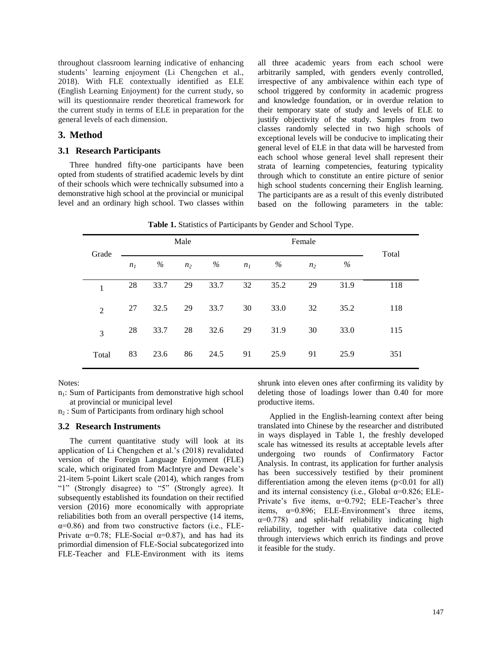throughout classroom learning indicative of enhancing students' learning enjoyment (Li Chengchen et al., 2018). With FLE contextually identified as ELE (English Learning Enjoyment) for the current study, so will its questionnaire render theoretical framework for the current study in terms of ELE in preparation for the general levels of each dimension.

### **3. Method**

#### **3.1 Research Participants**

Three hundred fifty-one participants have been opted from students of stratified academic levels by dint of their schools which were technically subsumed into a demonstrative high school at the provincial or municipal level and an ordinary high school. Two classes within all three academic years from each school were arbitrarily sampled, with genders evenly controlled, irrespective of any ambivalence within each type of school triggered by conformity in academic progress and knowledge foundation, or in overdue relation to their temporary state of study and levels of ELE to justify objectivity of the study. Samples from two classes randomly selected in two high schools of exceptional levels will be conducive to implicating their general level of ELE in that data will be harvested from each school whose general level shall represent their strata of learning competencies, featuring typicality through which to constitute an entire picture of senior high school students concerning their English learning. The participants are as a result of this evenly distributed based on the following parameters in the table:

**Table 1.** Statistics of Participants by Gender and School Type.

| Grade          | Male           |      |                |      | Female         |      |                |      |       |
|----------------|----------------|------|----------------|------|----------------|------|----------------|------|-------|
|                | n <sub>I</sub> | %    | n <sub>2</sub> | %    | n <sub>I</sub> | $\%$ | n <sub>2</sub> | %    | Total |
| 1              | 28             | 33.7 | 29             | 33.7 | 32             | 35.2 | 29             | 31.9 | 118   |
| $\overline{2}$ | 27             | 32.5 | 29             | 33.7 | 30             | 33.0 | 32             | 35.2 | 118   |
| 3              | 28             | 33.7 | 28             | 32.6 | 29             | 31.9 | 30             | 33.0 | 115   |
| Total          | 83             | 23.6 | 86             | 24.5 | 91             | 25.9 | 91             | 25.9 | 351   |

Notes:

n<sub>1</sub>: Sum of Participants from demonstrative high school at provincial or municipal level

 $n<sub>2</sub>$ : Sum of Participants from ordinary high school

#### **3.2 Research Instruments**

The current quantitative study will look at its application of Li Chengchen et al.'s (2018) revalidated version of the Foreign Language Enjoyment (FLE) scale, which originated from MacIntyre and Dewaele's 21-item 5-point Likert scale (2014), which ranges from "1" (Strongly disagree) to "5" (Strongly agree). It subsequently established its foundation on their rectified version (2016) more economically with appropriate reliabilities both from an overall perspective (14 items,  $\alpha$ =0.86) and from two constructive factors (i.e., FLE-Private  $\alpha=0.78$ ; FLE-Social  $\alpha=0.87$ ), and has had its primordial dimension of FLE-Social subcategorized into FLE-Teacher and FLE-Environment with its items shrunk into eleven ones after confirming its validity by deleting those of loadings lower than 0.40 for more productive items.

Applied in the English-learning context after being translated into Chinese by the researcher and distributed in ways displayed in Table 1, the freshly developed scale has witnessed its results at acceptable levels after undergoing two rounds of Confirmatory Factor Analysis. In contrast, its application for further analysis has been successively testified by their prominent differentiation among the eleven items  $(p<0.01$  for all) and its internal consistency (i.e., Global  $\alpha$ =0.826; ELE-Private's five items,  $\alpha=0.792$ ; ELE-Teacher's three items,  $\alpha=0.896$ ; ELE-Environment's three items,  $\alpha=0.778$ ) and split-half reliability indicating high reliability, together with qualitative data collected through interviews which enrich its findings and prove it feasible for the study.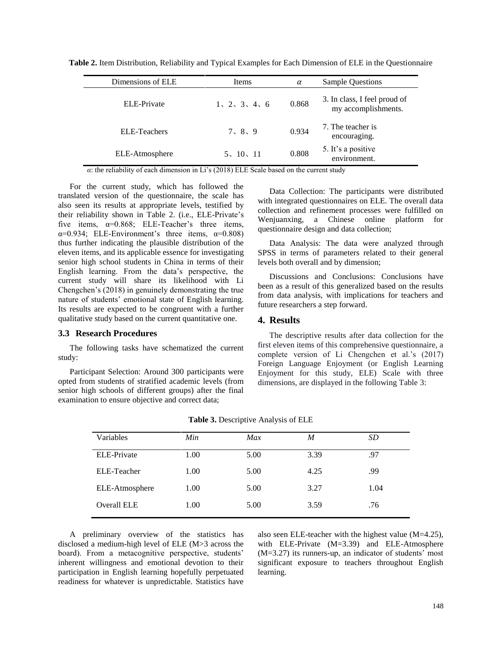| Dimensions of ELE   | Items         | $\alpha$ | <b>Sample Questions</b>                             |  |
|---------------------|---------------|----------|-----------------------------------------------------|--|
| ELE-Private         | 1, 2, 3, 4, 6 | 0.868    | 3. In class, I feel proud of<br>my accomplishments. |  |
| <b>ELE-Teachers</b> | 7, 8, 9       | 0.934    | 7. The teacher is<br>encouraging.                   |  |
| ELE-Atmosphere      | 5, 10, 11     | 0.808    | 5. It's a positive<br>environment.                  |  |

**Table 2.** Item Distribution, Reliability and Typical Examples for Each Dimension of ELE in the Questionnaire

*α*: the reliability of each dimension in Li's (2018) ELE Scale based on the current study

For the current study, which has followed the translated version of the questionnaire, the scale has also seen its results at appropriate levels, testified by their reliability shown in Table 2. (i.e., ELE-Private's five items,  $\alpha=0.868$ ; ELE-Teacher's three items,  $\alpha=0.934$ ; ELE-Environment's three items,  $\alpha=0.808$ ) thus further indicating the plausible distribution of the eleven items, and its applicable essence for investigating senior high school students in China in terms of their English learning. From the data's perspective, the current study will share its likelihood with Li Chengchen's (2018) in genuinely demonstrating the true nature of students' emotional state of English learning. Its results are expected to be congruent with a further qualitative study based on the current quantitative one.

#### **3.3 Research Procedures**

The following tasks have schematized the current study:

Participant Selection: Around 300 participants were opted from students of stratified academic levels (from senior high schools of different groups) after the final examination to ensure objective and correct data;

Data Collection: The participants were distributed with integrated questionnaires on ELE. The overall data collection and refinement processes were fulfilled on Wenjuanxing, a Chinese online platform for questionnaire design and data collection;

Data Analysis: The data were analyzed through SPSS in terms of parameters related to their general levels both overall and by dimension;

Discussions and Conclusions: Conclusions have been as a result of this generalized based on the results from data analysis, with implications for teachers and future researchers a step forward.

#### **4. Results**

The descriptive results after data collection for the first eleven items of this comprehensive questionnaire, a complete version of Li Chengchen et al.'s (2017) Foreign Language Enjoyment (or English Learning Enjoyment for this study, ELE) Scale with three dimensions, are displayed in the following Table 3:

| Variables      | Min  | Max  | M    | SD   |
|----------------|------|------|------|------|
| ELE-Private    | 1.00 | 5.00 | 3.39 | .97  |
| ELE-Teacher    | 1.00 | 5.00 | 4.25 | .99  |
| ELE-Atmosphere | 1.00 | 5.00 | 3.27 | 1.04 |
| Overall ELE    | 1.00 | 5.00 | 3.59 | .76  |

**Table 3.** Descriptive Analysis of ELE

A preliminary overview of the statistics has disclosed a medium-high level of ELE (M>3 across the board). From a metacognitive perspective, students' inherent willingness and emotional devotion to their participation in English learning hopefully perpetuated readiness for whatever is unpredictable. Statistics have also seen ELE-teacher with the highest value (M=4.25), with ELE-Private (M=3.39) and ELE-Atmosphere (M=3.27) its runners-up, an indicator of students' most significant exposure to teachers throughout English learning.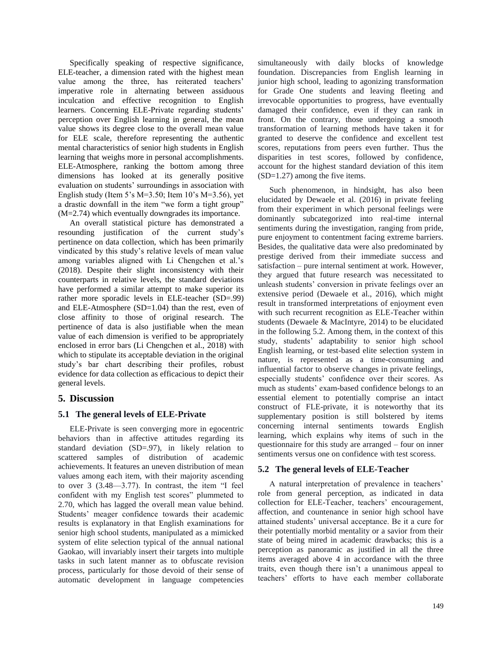Specifically speaking of respective significance, ELE-teacher, a dimension rated with the highest mean value among the three, has reiterated teachers' imperative role in alternating between assiduous inculcation and effective recognition to English learners. Concerning ELE-Private regarding students' perception over English learning in general, the mean value shows its degree close to the overall mean value for ELE scale, therefore representing the authentic mental characteristics of senior high students in English learning that weighs more in personal accomplishments. ELE-Atmosphere, ranking the bottom among three dimensions has looked at its generally positive evaluation on students' surroundings in association with English study (Item 5's  $M=3.50$ ; Item 10's  $M=3.56$ ), yet a drastic downfall in the item "we form a tight group" (M=2.74) which eventually downgrades its importance.

An overall statistical picture has demonstrated a resounding justification of the current study's pertinence on data collection, which has been primarily vindicated by this study's relative levels of mean value among variables aligned with Li Chengchen et al.'s (2018). Despite their slight inconsistency with their counterparts in relative levels, the standard deviations have performed a similar attempt to make superior its rather more sporadic levels in ELE-teacher (SD=.99) and ELE-Atmosphere (SD=1.04) than the rest, even of close affinity to those of original research. The pertinence of data is also justifiable when the mean value of each dimension is verified to be appropriately enclosed in error bars (Li Chengchen et al., 2018) with which to stipulate its acceptable deviation in the original study's bar chart describing their profiles, robust evidence for data collection as efficacious to depict their general levels.

# **5. Discussion**

# **5.1 The general levels of ELE-Private**

ELE-Private is seen converging more in egocentric behaviors than in affective attitudes regarding its standard deviation (SD=.97), in likely relation to scattered samples of distribution of academic achievements. It features an uneven distribution of mean values among each item, with their majority ascending to over  $3$   $(3.48-3.77)$ . In contrast, the item "I feel confident with my English test scores" plummeted to 2.70, which has lagged the overall mean value behind. Students' meager confidence towards their academic results is explanatory in that English examinations for senior high school students, manipulated as a mimicked system of elite selection typical of the annual national Gaokao, will invariably insert their targets into multiple tasks in such latent manner as to obfuscate revision process, particularly for those devoid of their sense of automatic development in language competencies

simultaneously with daily blocks of knowledge foundation. Discrepancies from English learning in junior high school, leading to agonizing transformation for Grade One students and leaving fleeting and irrevocable opportunities to progress, have eventually damaged their confidence, even if they can rank in front. On the contrary, those undergoing a smooth transformation of learning methods have taken it for granted to deserve the confidence and excellent test scores, reputations from peers even further. Thus the disparities in test scores, followed by confidence, account for the highest standard deviation of this item (SD=1.27) among the five items.

Such phenomenon, in hindsight, has also been elucidated by Dewaele et al. (2016) in private feeling from their experiment in which personal feelings were dominantly subcategorized into real-time internal sentiments during the investigation, ranging from pride, pure enjoyment to contentment facing extreme barriers. Besides, the qualitative data were also predominated by prestige derived from their immediate success and satisfaction – pure internal sentiment at work. However, they argued that future research was necessitated to unleash students' conversion in private feelings over an extensive period (Dewaele et al., 2016), which might result in transformed interpretations of enjoyment even with such recurrent recognition as ELE-Teacher within students (Dewaele & MacIntyre, 2014) to be elucidated in the following 5.2. Among them, in the context of this study, students' adaptability to senior high school English learning, or test-based elite selection system in nature, is represented as a time-consuming and influential factor to observe changes in private feelings, especially students' confidence over their scores. As much as students' exam-based confidence belongs to an essential element to potentially comprise an intact construct of FLE-private, it is noteworthy that its supplementary position is still bolstered by items concerning internal sentiments towards English learning, which explains why items of such in the questionnaire for this study are arranged – four on inner sentiments versus one on confidence with test scoress.

# **5.2 The general levels of ELE-Teacher**

A natural interpretation of prevalence in teachers' role from general perception, as indicated in data collection for ELE-Teacher, teachers' encouragement, affection, and countenance in senior high school have attained students' universal acceptance. Be it a cure for their potentially morbid mentality or a savior from their state of being mired in academic drawbacks; this is a perception as panoramic as justified in all the three items averaged above 4 in accordance with the three traits, even though there isn't a unanimous appeal to teachers' efforts to have each member collaborate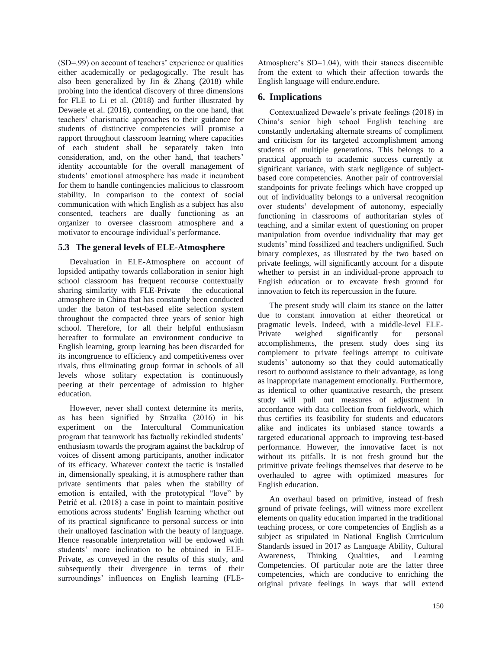(SD=.99) on account of teachers' experience or qualities either academically or pedagogically. The result has also been generalized by Jin & Zhang (2018) while probing into the identical discovery of three dimensions for FLE to Li et al. (2018) and further illustrated by Dewaele et al. (2016), contending, on the one hand, that teachers' charismatic approaches to their guidance for students of distinctive competencies will promise a rapport throughout classroom learning where capacities of each student shall be separately taken into consideration, and, on the other hand, that teachers' identity accountable for the overall management of students' emotional atmosphere has made it incumbent for them to handle contingencies malicious to classroom stability. In comparison to the context of social communication with which English as a subject has also consented, teachers are dually functioning as an organizer to oversee classroom atmosphere and a motivator to encourage individual's performance.

# **5.3 The general levels of ELE-Atmosphere**

Devaluation in ELE-Atmosphere on account of lopsided antipathy towards collaboration in senior high school classroom has frequent recourse contextually sharing similarity with FLE-Private – the educational atmosphere in China that has constantly been conducted under the baton of test-based elite selection system throughout the compacted three years of senior high school. Therefore, for all their helpful enthusiasm hereafter to formulate an environment conducive to English learning, group learning has been discarded for its incongruence to efficiency and competitiveness over rivals, thus eliminating group format in schools of all levels whose solitary expectation is continuously peering at their percentage of admission to higher education.

However, never shall context determine its merits, as has been signified by Strzałka (2016) in his experiment on the Intercultural Communication program that teamwork has factually rekindled students' enthusiasm towards the program against the backdrop of voices of dissent among participants, another indicator of its efficacy. Whatever context the tactic is installed in, dimensionally speaking, it is atmosphere rather than private sentiments that pales when the stability of emotion is entailed, with the prototypical "love" by Petrić et al. (2018) a case in point to maintain positive emotions across students' English learning whether out of its practical significance to personal success or into their unalloyed fascination with the beauty of language. Hence reasonable interpretation will be endowed with students' more inclination to be obtained in ELE-Private, as conveyed in the results of this study, and subsequently their divergence in terms of their surroundings' influences on English learning (FLE-

Atmosphere's SD=1.04), with their stances discernible from the extent to which their affection towards the English language will endure.endure.

# **6. Implications**

Contextualized Dewaele's private feelings (2018) in China's senior high school English teaching are constantly undertaking alternate streams of compliment and criticism for its targeted accomplishment among students of multiple generations. This belongs to a practical approach to academic success currently at significant variance, with stark negligence of subjectbased core competencies. Another pair of controversial standpoints for private feelings which have cropped up out of individuality belongs to a universal recognition over students' development of autonomy, especially functioning in classrooms of authoritarian styles of teaching, and a similar extent of questioning on proper manipulation from overdue individuality that may get students' mind fossilized and teachers undignified. Such binary complexes, as illustrated by the two based on private feelings, will significantly account for a dispute whether to persist in an individual-prone approach to English education or to excavate fresh ground for innovation to fetch its repercussion in the future.

The present study will claim its stance on the latter due to constant innovation at either theoretical or pragmatic levels. Indeed, with a middle-level ELE-Private weighed significantly for personal accomplishments, the present study does sing its complement to private feelings attempt to cultivate students' autonomy so that they could automatically resort to outbound assistance to their advantage, as long as inappropriate management emotionally. Furthermore, as identical to other quantitative research, the present study will pull out measures of adjustment in accordance with data collection from fieldwork, which thus certifies its feasibility for students and educators alike and indicates its unbiased stance towards a targeted educational approach to improving test-based performance. However, the innovative facet is not without its pitfalls. It is not fresh ground but the primitive private feelings themselves that deserve to be overhauled to agree with optimized measures for English education.

An overhaul based on primitive, instead of fresh ground of private feelings, will witness more excellent elements on quality education imparted in the traditional teaching process, or core competencies of English as a subject as stipulated in National English Curriculum Standards issued in 2017 as Language Ability, Cultural Awareness, Thinking Qualities, and Learning Competencies. Of particular note are the latter three competencies, which are conducive to enriching the original private feelings in ways that will extend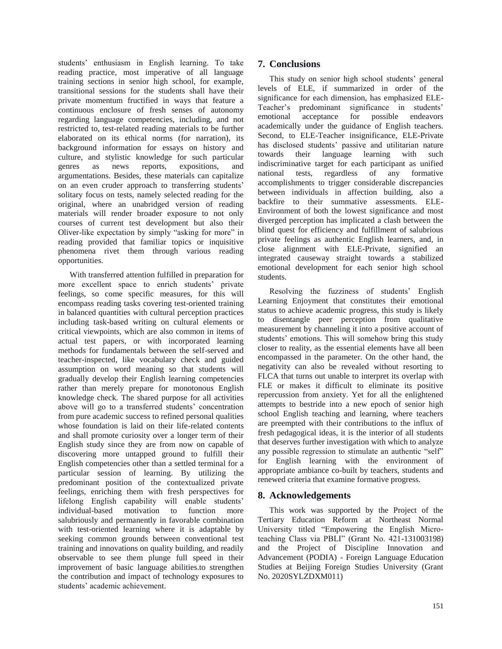students' enthusiasm in English learning. To take reading practice, most imperative of all language training sections in senior high school, for example, transitional sessions for the students shall have their private momentum fructified in ways that feature a continuous enclosure of fresh senses of autonomy regarding language competencies, including, and not restricted to, test-related reading materials to be further elaborated on its ethical norms (for narration), its background information for essays on history and culture, and stylistic knowledge for such particular genres as news reports, expositions, and argumentations. Besides, these materials can capitalize on an even cruder approach to transferring students' solitary focus on tests, namely selected reading for the original, where an unabridged version of reading materials will render broader exposure to not only courses of current test development but also their Oliver-like expectation by simply "asking for more" in reading provided that familiar topics or inquisitive phenomena rivet them through various reading opportunities.

With transferred attention fulfilled in preparation for more excellent space to enrich students' private feelings, so come specific measures, for this will encompass reading tasks covering test-oriented training in balanced quantities with cultural perception practices including task-based writing on cultural elements or critical viewpoints, which are also common in items of actual test papers, or with incorporated learning methods for fundamentals between the self-served and teacher-inspected, like vocabulary check and guided assumption on word meaning so that students will gradually develop their English learning competencies rather than merely prepare for monotonous English knowledge check. The shared purpose for all activities above will go to a transferred students' concentration from pure academic success to refined personal qualities whose foundation is laid on their life-related contents and shall promote curiosity over a longer term of their English study since they are from now on capable of discovering more untapped ground to fulfill their English competencies other than a settled terminal for a particular session of learning. By utilizing the predominant position of the contextualized private feelings, enriching them with fresh perspectives for lifelong English capability will enable students' individual-based motivation to function more salubriously and permanently in favorable combination with test-oriented learning where it is adaptable by seeking common grounds between conventional test training and innovations on quality building, and readily observable to see them plunge full speed in their improvement of basic language abilities.to strengthen the contribution and impact of technology exposures to students' academic achievement.

# **7. Conclusions**

This study on senior high school students' general levels of ELE, if summarized in order of the significance for each dimension, has emphasized ELE-Teacher's predominant significance in students' emotional acceptance for possible endeavors academically under the guidance of English teachers. Second, to ELE-Teacher insignificance, ELE-Private has disclosed students' passive and utilitarian nature towards their language learning with such indiscriminative target for each participant as unified national tests, regardless of any formative accomplishments to trigger considerable discrepancies between individuals in affection building, also a backfire to their summative assessments. ELE-Environment of both the lowest significance and most diverged perception has implicated a clash between the blind quest for efficiency and fulfillment of salubrious private feelings as authentic English learners, and, in close alignment with ELE-Private, signified an integrated causeway straight towards a stabilized emotional development for each senior high school students.

Resolving the fuzziness of students' English Learning Enjoyment that constitutes their emotional status to achieve academic progress, this study is likely to disentangle peer perception from qualitative measurement by channeling it into a positive account of students' emotions. This will somehow bring this study closer to reality, as the essential elements have all been encompassed in the parameter. On the other hand, the negativity can also be revealed without resorting to FLCA that turns out unable to interpret its overlap with FLE or makes it difficult to eliminate its positive repercussion from anxiety. Yet for all the enlightened attempts to bestride into a new epoch of senior high school English teaching and learning, where teachers are preempted with their contributions to the influx of fresh pedagogical ideas, it is the interior of all students that deserves further investigation with which to analyze any possible regression to stimulate an authentic "self" for English learning with the environment of appropriate ambiance co-built by teachers, students and renewed criteria that examine formative progress.

# **8. Acknowledgements**

This work was supported by the Project of the Tertiary Education Reform at Northeast Normal University titled "Empowering the English Microteaching Class via PBLI" (Grant No. 421-131003198) and the Project of Discipline Innovation and Advancement (PODIA) - Foreign Language Education Studies at Beijing Foreign Studies University (Grant No. 2020SYLZDXM011)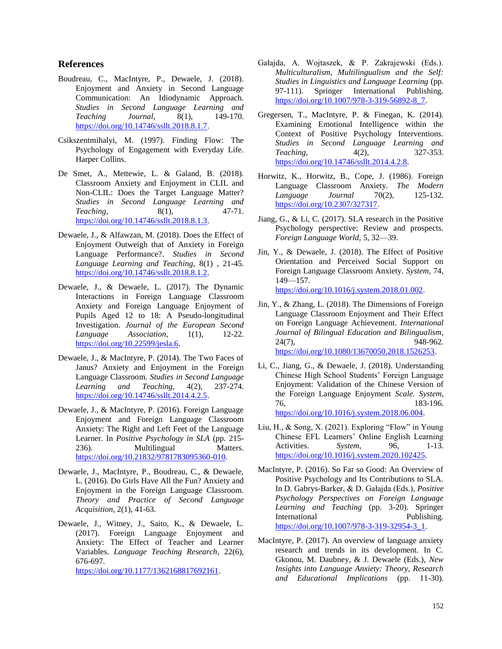# **References**

- Boudreau, C., MacIntyre, P., Dewaele, J. (2018). Enjoyment and Anxiety in Second Language Communication: An Idiodynamic Approach. *Studies in Second Language Learning and Teaching Journal*, 8(1), 149-170. [https://doi.org/10.14746/ssllt.2018.8.1.7.](https://doi.org/10.14746/ssllt.2018.8.1.7)
- Csikszentmihalyi, M. (1997). Finding Flow: The Psychology of Engagement with Everyday Life. Harper Collins.
- De Smet, A., Mettewie, L. & Galand, B. (2018). Classroom Anxiety and Enjoyment in CLIL and Non-CLIL: Does the Target Language Matter? *Studies in Second Language Learning and Teaching*, 8(1), 47-71. [https://doi.org/10.14746/ssllt.2018.8.1.3.](https://doi.org/10.14746/ssllt.2018.8.1.3)
- Dewaele, J., & Alfawzan, M. (2018). Does the Effect of Enjoyment Outweigh that of Anxiety in Foreign Language Performance?. *Studies in Second Language Learning and Teaching,* 8(1) , 21-45. [https://doi.org/10.14746/ssllt.2018.8.1.2.](https://doi.org/10.14746/ssllt.2018.8.1.2)
- Dewaele, J., & Dewaele, L. (2017). The Dynamic Interactions in Foreign Language Classroom Anxiety and Foreign Language Enjoyment of Pupils Aged 12 to 18: A Pseudo-longitudinal Investigation. *Journal of the European Second Language Association*, 1(1), 12-22. [https://doi.org/10.22599/jesla.6.](https://doi.org/10.22599/jesla.6)
- Dewaele, J., & MacIntyre, P. (2014). The Two Faces of Janus? Anxiety and Enjoyment in the Foreign Language Classroom. *Studies in Second Language Learning and Teaching*, 4(2), 237-274. [https://doi.org/10.14746/ssllt.2014.4.2.5.](https://doi.org/10.14746/ssllt.2014.4.2.5)
- Dewaele, J., & MacIntyre, P. (2016). Foreign Language Enjoyment and Foreign Language Classroom Anxiety: The Right and Left Feet of the Language Learner. In *Positive Psychology in SLA* (pp. 215- 236). Multilingual Matters. [https://doi.org/10.21832/9781783095360-010.](https://doi.org/10.21832/9781783095360-010)
- Dewaele, J., MacIntyre, P., Boudreau, C., & Dewaele, L. (2016). Do Girls Have All the Fun? Anxiety and Enjoyment in the Foreign Language Classroom. *Theory and Practice of Second Language Acquisition*, 2(1), 41-63.
- Dewaele, J., Witney, J., Saito, K., & Dewaele, L. (2017). Foreign Language Enjoyment and Anxiety: The Effect of Teacher and Learner Variables. *Language Teaching Research,* 22(6), 676-697.

[https://doi.org/10.1177/1362168817692161.](https://doi.org/10.1177/1362168817692161)

- Gałajda, A. Wojtaszek, & P. Zakrajewski (Eds.). *Multiculturalism, Multilingualism and the Self: Studies in Linguistics and Language Learning* (pp. 97-111). Springer International Publishing. [https://doi.org/10.1007/978-3-319-56892-8\\_7.](https://doi.org/10.1007/978-3-319-56892-8_7)
- Gregersen, T., MacIntyre, P. & Finegan, K. (2014). Examining Emotional Intelligence within the Context of Positive Psychology Interventions. *Studies in Second Language Learning and Teaching,* 4(2), 327-353. [https://doi.org/10.14746/ssllt.2014.4.2.8.](https://doi.org/10.14746/ssllt.2014.4.2.8)
- Horwitz, K., Horwitz, B., Cope, J. (1986). Foreign Language Classroom Anxiety. *The Modern Language Journal* 70(2), 125-132. [https://doi.org/10.2307/327317.](https://doi.org/10.2307/327317)
- Jiang, G., & Li, C. (2017). SLA research in the Positive Psychology perspective: Review and prospects. *Foreign Language World,* 5, 32—39.
- Jin, Y., & Dewaele, J. (2018). The Effect of Positive Orientation and Perceived Social Support on Foreign Language Classroom Anxiety. *System,* 74, 149—157. [https://doi.org/10.1016/j.system.2018.01.002.](https://doi.org/10.1016/j.system.2018.01.002)
- Jin, Y., & Zhang, L. (2018). The Dimensions of Foreign Language Classroom Enjoyment and Their Effect on Foreign Language Achievement. *International Journal of Bilingual Education and Bilingualism*, 24(7), 948-962. [https://doi.org/10.1080/13670050.2018.1526253.](https://doi.org/10.1080/13670050.2018.1526253)
- Li, C., Jiang, G., & Dewaele, J. (2018). Understanding Chinese High School Students' Foreign Language Enjoyment: Validation of the Chinese Version of the Foreign Language Enjoyment *Scale. System*, 76, 183-196. [https://doi.org/10.1016/j.system.2018.06.004.](https://doi.org/10.1016/j.system.2018.06.004)
- Liu, H., & Song, X. (2021). Exploring "Flow" in Young Chinese EFL Learners' Online English Learning Activities. *System*, 96, 1-13. [https://doi.org/10.1016/j.system.2020.102425.](https://doi.org/10.1016/j.system.2020.102425)
- MacIntyre, P. (2016). So Far so Good: An Overview of Positive Psychology and Its Contributions to SLA. In D. Gabrys-Barker, & D. Gałajda (Eds.), *Positive Psychology Perspectives on Foreign Language Learning and Teaching* (pp. 3-20). Springer International Publishing. [https://doi.org/10.1007/978-3-319-32954-3\\_1.](https://doi.org/10.1007/978-3-319-32954-3_1)
- MacIntyre, P. (2017). An overview of language anxiety research and trends in its development. In C. Gkonou, M. Daubney, & J. Dewaele (Eds.), *New Insights into Language Anxiety: Theory, Research and Educational Implications* (pp. 11-30).